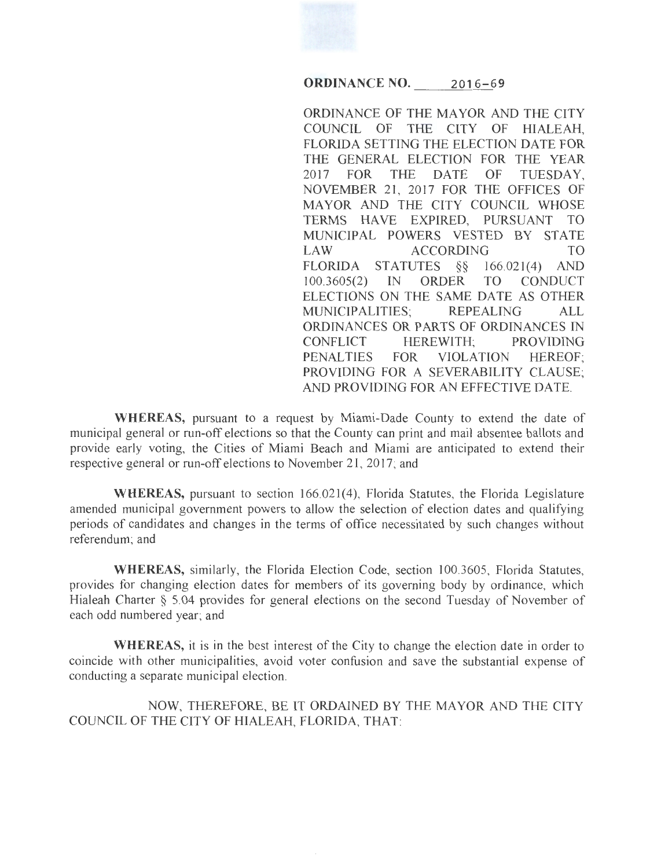## **ORDINANCE NO.** 2016-69

ORDINANCE OF THE MAYOR AND THE CITY COUNCIL OF THE CITY OF HIALEAH, FLORIDA SETTING THE ELECTION DATE FOR THE GENERAL ELECTION FOR THE YEAR 2017 FOR THE DATE OF TUESDAY, NOVEMBER 21, 2017 FOR THE OFFICES OF MAYOR AND THE CITY COUNCIL WHOSE TERMS HAVE EXPIRED, PURSUANT TO MUNICIPAL POWERS VESTED BY STATE LAW ACCORDING TO FLORIDA STATUTES §§ 166.021(4) AND<br>100.3605(2) IN ORDER TO CONDUCT 100.3605(2) IN ORDER TO ELECTIONS ON THE SAME DATE AS OTHER MUNICIPALITIES; REPEALING ALL ORDINANCES OR PARTS OF ORDINANCES IN CONFLICT HEREWITH; PROVIDING PENALTIES FOR VIOLATION HEREOF; PROVIDING FOR A SEVERABILITY CLAUSE; AND PROVIDING FOR AN EFFECTIVE DATE.

WHEREAS, pursuant to a request by Miami-Dade County to extend the date of municipal general or run-off elections so that the County can print and mail absentee ballots and provide early voting, the Cities of Miami Beach and Miami are anticipated to extend their respective general or run-off elections to November 21, 2017; and

WHEREAS, pursuant to section 166.021(4), Florida Statutes, the Florida Legislature amended municipal government powers to allow the selection of election dates and qualifying periods of candidates and changes in the terms of office necessitated by such changes without referendum; and

WHEREAS, similarly, the Florida Election Code, section 100.3605, Florida Statutes, provides for changing election dates for members of its governing body by ordinance, which Hialeah Charter § 5.04 provides for general elections on the second Tuesday of November of each odd numbered year; and

WHEREAS, it is in the best interest of the City to change the election date in order to coincide with other municipalities, avoid voter confusion and save the substantial expense of conducting a separate municipal election.

NOW, THEREFORE, BE IT ORDAINED BY THE MAYOR AND THE CITY COUNCIL OF THE CITY OF HIALEAH, FLORIDA, THAT: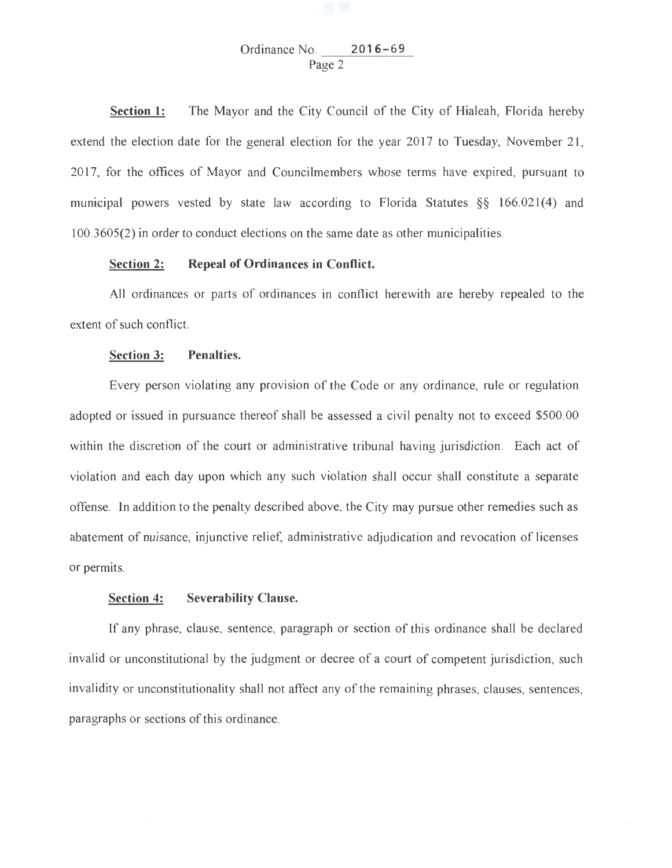# Ordinance No. **2016-69** Page 2

**Section 1:** The Mayor and the City Council of the City of Hialeah, Florida hereby extend the election date for the general election for the year 2017 to Tuesday, November 21, 2017, for the offices of Mayor and Councilmembers whose terms have expired, pursuant to municipal powers vested by state law according to Florida Statutes §§ 166.021(4) and 1 00.3605(2) in order to conduct elections on the same date as other municipalities.

## **Section 2: Repeal of Ordinances in Conflict.**

All ordinances or parts of ordinances in conflict herewith are hereby repealed to the extent of such conflict.

#### **Section 3: Penalties.**

Every person violating any provision of the Code or any ordinance, rule or regulation adopted or issued in pursuance thereof shall be assessed a civil penalty not to exceed \$500.00 within the discretion of the court or administrative tribunal having jurisdiction. Each act of violation and each day upon which any such violation shall occur shall constitute a separate offense. In addition to the penalty described above, the City may pursue other remedies such as abatement of nuisance, injunctive relief, administrative adjudication and revocation of licenses or permits.

### **Section 4: Severability Clause.**

If any phrase, clause, sentence, paragraph or section of this ordinance shall be declared invalid or unconstitutional by the judgment or decree of a court of competent jurisdiction, such invalidity or unconstitutionality shall not affect any of the remaining phrases, clauses, sentences, paragraphs or sections of this ordinance.